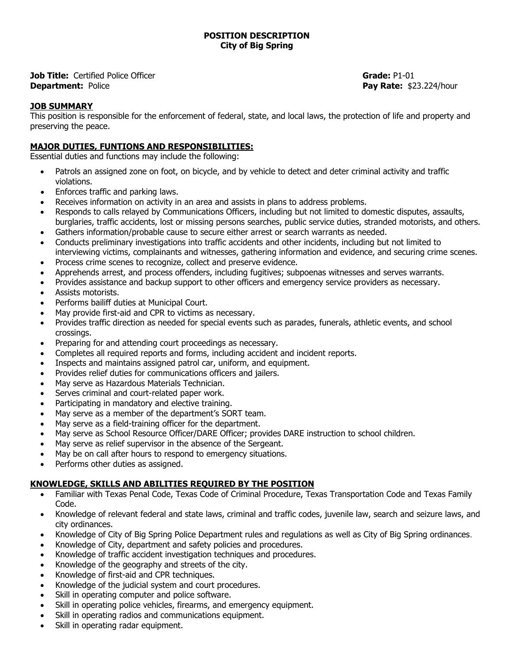**Job Title:** Certified Police Officer **Department:** Police

**Grade:** P1-01 **Pay Rate:** \$23.224/hour

## **JOB SUMMARY**

This position is responsible for the enforcement of federal, state, and local laws, the protection of life and property and preserving the peace.

## **MAJOR DUTIES, FUNTIONS AND RESPONSIBILITIES:**

Essential duties and functions may include the following:

- Patrols an assigned zone on foot, on bicycle, and by vehicle to detect and deter criminal activity and traffic violations.
- Enforces traffic and parking laws.
- Receives information on activity in an area and assists in plans to address problems.
- Responds to calls relayed by Communications Officers, including but not limited to domestic disputes, assaults, burglaries, traffic accidents, lost or missing persons searches, public service duties, stranded motorists, and others.
- Gathers information/probable cause to secure either arrest or search warrants as needed.
- Conducts preliminary investigations into traffic accidents and other incidents, including but not limited to interviewing victims, complainants and witnesses, gathering information and evidence, and securing crime scenes.
- Process crime scenes to recognize, collect and preserve evidence.
- Apprehends arrest, and process offenders, including fugitives; subpoenas witnesses and serves warrants.
- Provides assistance and backup support to other officers and emergency service providers as necessary.
- Assists motorists.
- Performs bailiff duties at Municipal Court.
- May provide first-aid and CPR to victims as necessary.
- Provides traffic direction as needed for special events such as parades, funerals, athletic events, and school crossings.
- Preparing for and attending court proceedings as necessary.
- Completes all required reports and forms, including accident and incident reports.
- Inspects and maintains assigned patrol car, uniform, and equipment.
- Provides relief duties for communications officers and jailers.
- May serve as Hazardous Materials Technician.
- Serves criminal and court-related paper work.
- Participating in mandatory and elective training.
- May serve as a member of the department's SORT team.
- May serve as a field-training officer for the department.
- May serve as School Resource Officer/DARE Officer; provides DARE instruction to school children.
- May serve as relief supervisor in the absence of the Sergeant.
- May be on call after hours to respond to emergency situations.
- Performs other duties as assigned.

## **KNOWLEDGE, SKILLS AND ABILITIES REQUIRED BY THE POSITION**

- Familiar with Texas Penal Code, Texas Code of Criminal Procedure, Texas Transportation Code and Texas Family Code.
- Knowledge of relevant federal and state laws, criminal and traffic codes, juvenile law, search and seizure laws, and city ordinances.
- Knowledge of City of Big Spring Police Department rules and regulations as well as City of Big Spring ordinances.
- Knowledge of City, department and safety policies and procedures.
- Knowledge of traffic accident investigation techniques and procedures.
- Knowledge of the geography and streets of the city.
- Knowledge of first-aid and CPR techniques.
- Knowledge of the judicial system and court procedures.
- Skill in operating computer and police software.
- Skill in operating police vehicles, firearms, and emergency equipment.
- Skill in operating radios and communications equipment.
- Skill in operating radar equipment.